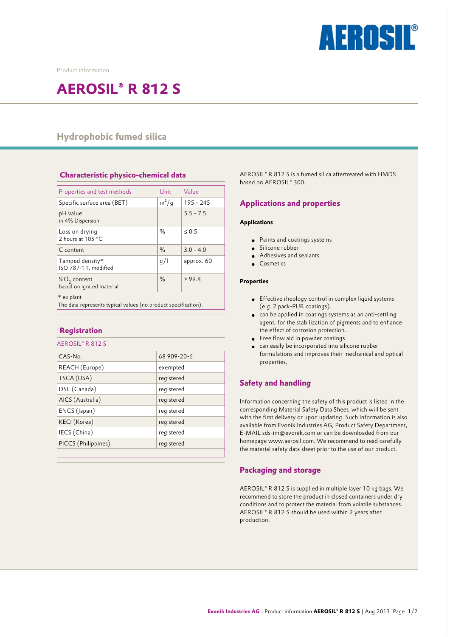

Product information

# **AEROSIL® R 812 S**

## **Hydrophobic fumed silica**

**Characteristic physico-chemical data** 

| Properties and test methods                                                  | Unit    | Value       |
|------------------------------------------------------------------------------|---------|-------------|
| Specific surface area (BET)                                                  | $m^2/g$ | 195 - 245   |
| pH value<br>in 4% Dispersion                                                 |         | $5.5 - 7.5$ |
| Loss on drying<br>2 hours at 105 °C                                          | $\%$    | $\leq 0.5$  |
| C content                                                                    | $\%$    | $3.0 - 4.0$ |
| Tamped density*<br>ISO 787-11, modified                                      | q/      | approx. 60  |
| $SiO2$ content<br>based on ignited material                                  | $\%$    | $\geq 99.8$ |
| * ex plant<br>The data represents typical values (no product specification). |         |             |

| <b>Registration</b> |
|---------------------|
|                     |

| AEROSIL®R812S       |             |
|---------------------|-------------|
| $CAS-N0$ .          | 68 909-20-6 |
| REACH (Europe)      | exempted    |
| TSCA (USA)          | registered  |
| DSL (Canada)        | registered  |
| AICS (Australia)    | registered  |
| ENCS (Japan)        | registered  |
| KECI (Korea)        | registered  |
| IECS (China)        | registered  |
| PICCS (Philippines) | registered  |
|                     |             |

AEROSIL® R 812 S is a fumed silica aftertreated with HMDS based on AEROSIL® 300.

### **Applications and properties**

#### **Applications**

- Paints and coatings systems
- Silicone rubber
- Adhesives and sealants
- Cosmetics

#### **Properties**

- Effective rheology control in complex liquid systems (e.g. 2 pack-PUR coatings).
- can be applied in coatings systems as an anti-settling agent, for the stabilization of pigments and to enhance the effect of corrosion protection.
- Free flow aid in powder coatings.
- can easily be incorporated into silicone rubber formulations and improves their mechanical and optical properties.

### **Safety and handling**

Information concerning the safety of this product is listed in the corresponding Material Safety Data Sheet, which will be sent with the first delivery or upon updating. Such information is also available from Evonik Industries AG, Product Safety Department, E-MAIL sds-im@evonik.com or can be downloaded from our homepage www.aerosil.com. We recommend to read carefully the material safety data sheet prior to the use of our product.

### **Packaging and storage**

AEROSIL® R 812 S is supplied in multiple layer 10 kg bags. We recommend to store the product in closed containers under dry conditions and to protect the material from volatile substances. AEROSIL® R 812 S should be used within 2 years after production.